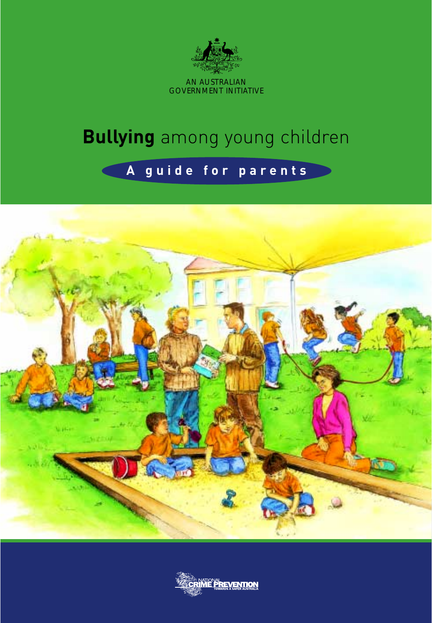

# **Bullying** among young children

## **A guide for parents**



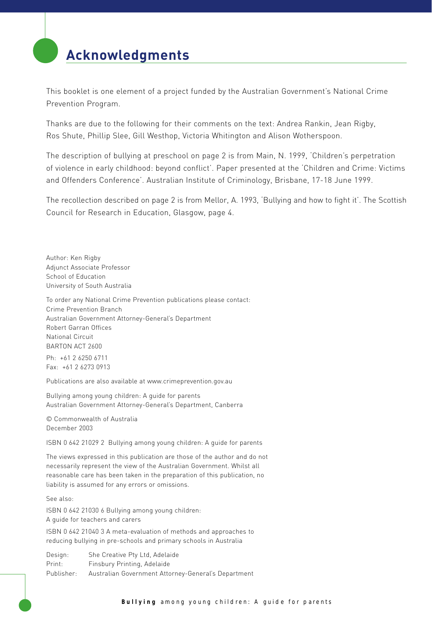## **Acknowledgments**

This booklet is one element of a project funded by the Australian Government's National Crime Prevention Program.

Thanks are due to the following for their comments on the text: Andrea Rankin, Jean Rigby, Ros Shute, Phillip Slee, Gill Westhop, Victoria Whitington and Alison Wotherspoon.

The description of bullying at preschool on page 2 is from Main, N. 1999, 'Children's perpetration of violence in early childhood: beyond conflict'. Paper presented at the 'Children and Crime: Victims and Offenders Conference'. Australian Institute of Criminology, Brisbane, 17-18 June 1999.

The recollection described on page 2 is from Mellor, A. 1993, 'Bullying and how to fight it'. The Scottish Council for Research in Education, Glasgow, page 4.

Author: Ken Rigby Adjunct Associate Professor School of Education University of South Australia

To order any National Crime Prevention publications please contact: Crime Prevention Branch Australian Government Attorney-General's Department Robert Garran Offices National Circuit BARTON ACT 2600

Ph: +61 2 6250 6711 Fax: +61 2 6273 0913

Publications are also available at www.crimeprevention.gov.au

Bullying among young children: A guide for parents Australian Government Attorney-General's Department, Canberra

© Commonwealth of Australia December 2003

ISBN 0 642 21029 2 Bullying among young children: A guide for parents

The views expressed in this publication are those of the author and do not necessarily represent the view of the Australian Government. Whilst all reasonable care has been taken in the preparation of this publication, no liability is assumed for any errors or omissions.

See also:

ISBN 0 642 21030 6 Bullying among young children: A guide for teachers and carers

ISBN 0 642 21040 3 A meta-evaluation of methods and approaches to reducing bullying in pre-schools and primary schools in Australia

Design: She Creative Pty Ltd, Adelaide Print: Finsbury Printing, Adelaide Publisher: Australian Government Attorney-General's Department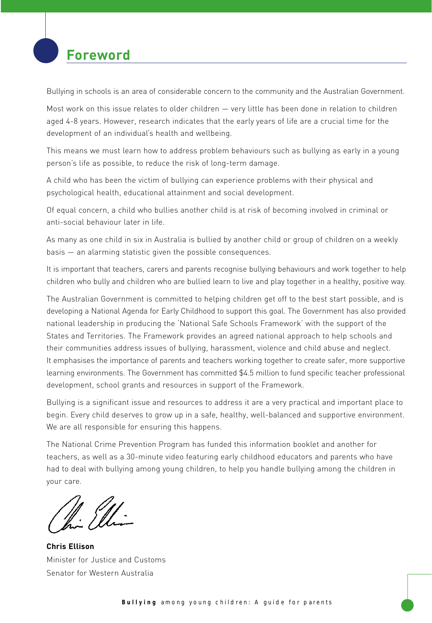## **Foreword**

Bullying in schools is an area of considerable concern to the community and the Australian Government.

Most work on this issue relates to older children — very little has been done in relation to children aged 4-8 years. However, research indicates that the early years of life are a crucial time for the development of an individual's health and wellbeing.

This means we must learn how to address problem behaviours such as bullying as early in a young person's life as possible, to reduce the risk of long-term damage.

A child who has been the victim of bullying can experience problems with their physical and psychological health, educational attainment and social development.

Of equal concern, a child who bullies another child is at risk of becoming involved in criminal or anti-social behaviour later in life.

As many as one child in six in Australia is bullied by another child or group of children on a weekly basis — an alarming statistic given the possible consequences.

It is important that teachers, carers and parents recognise bullying behaviours and work together to help children who bully and children who are bullied learn to live and play together in a healthy, positive way.

The Australian Government is committed to helping children get off to the best start possible, and is developing a National Agenda for Early Childhood to support this goal. The Government has also provided national leadership in producing the 'National Safe Schools Framework' with the support of the States and Territories. The Framework provides an agreed national approach to help schools and their communities address issues of bullying, harassment, violence and child abuse and neglect. It emphasises the importance of parents and teachers working together to create safer, more supportive learning environments. The Government has committed \$4.5 million to fund specific teacher professional development, school grants and resources in support of the Framework.

Bullying is a significant issue and resources to address it are a very practical and important place to begin. Every child deserves to grow up in a safe, healthy, well-balanced and supportive environment. We are all responsible for ensuring this happens.

The National Crime Prevention Program has funded this information booklet and another for teachers, as well as a 30-minute video featuring early childhood educators and parents who have had to deal with bullying among young children, to help you handle bullying among the children in your care.

N. Ill

**Chris Ellison** Minister for Justice and Customs Senator for Western Australia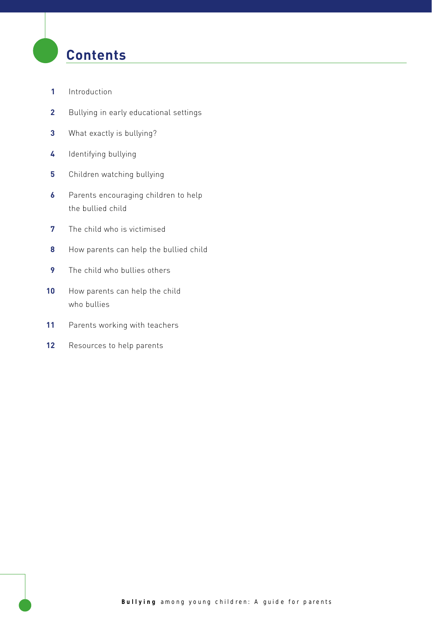## **Contents**

- Introduction
- Bullying in early educational settings
- What exactly is bullying?
- Identifying bullying
- Children watching bullying
- Parents encouraging children to help the bullied child
- The child who is victimised
- How parents can help the bullied child
- The child who bullies others
- 10 How parents can help the child who bullies
- Parents working with teachers
- 12 Resources to help parents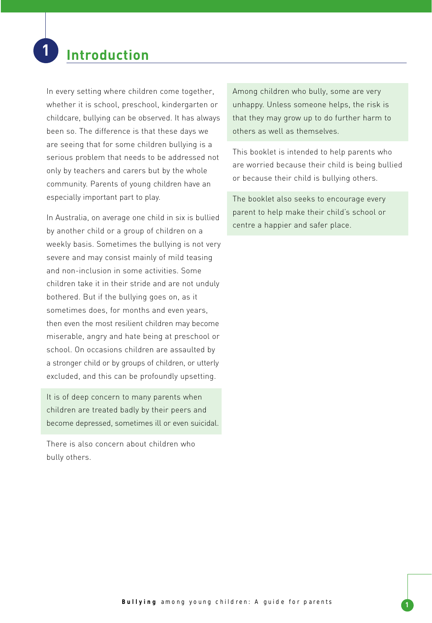## **1 Introduction**

In every setting where children come together, whether it is school, preschool, kindergarten or childcare, bullying can be observed. It has always been so. The difference is that these days we are seeing that for some children bullying is a serious problem that needs to be addressed not only by teachers and carers but by the whole community. Parents of young children have an especially important part to play.

In Australia, on average one child in six is bullied by another child or a group of children on a weekly basis. Sometimes the bullying is not very severe and may consist mainly of mild teasing and non-inclusion in some activities. Some children take it in their stride and are not unduly bothered. But if the bullying goes on, as it sometimes does, for months and even years, then even the most resilient children may become miserable, angry and hate being at preschool or school. On occasions children are assaulted by a stronger child or by groups of children, or utterly excluded, and this can be profoundly upsetting.

It is of deep concern to many parents when children are treated badly by their peers and become depressed, sometimes ill or even suicidal.

There is also concern about children who bully others.

Among children who bully, some are very unhappy. Unless someone helps, the risk is that they may grow up to do further harm to others as well as themselves.

This booklet is intended to help parents who are worried because their child is being bullied or because their child is bullying others.

The booklet also seeks to encourage every parent to help make their child's school or centre a happier and safer place.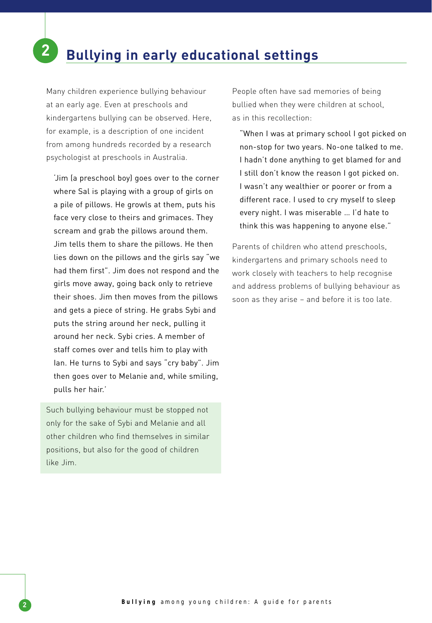Many children experience bullying behaviour at an early age. Even at preschools and kindergartens bullying can be observed. Here, for example, is a description of one incident from among hundreds recorded by a research psychologist at preschools in Australia.

'Jim (a preschool boy) goes over to the corner where Sal is playing with a group of girls on a pile of pillows. He growls at them, puts his face very close to theirs and grimaces. They scream and grab the pillows around them. Jim tells them to share the pillows. He then lies down on the pillows and the girls say "we had them first". Jim does not respond and the girls move away, going back only to retrieve their shoes. Jim then moves from the pillows and gets a piece of string. He grabs Sybi and puts the string around her neck, pulling it around her neck. Sybi cries. A member of staff comes over and tells him to play with Ian. He turns to Sybi and says "cry baby". Jim then goes over to Melanie and, while smiling, pulls her hair.'

Such bullying behaviour must be stopped not only for the sake of Sybi and Melanie and all other children who find themselves in similar positions, but also for the good of children like Jim.

People often have sad memories of being bullied when they were children at school, as in this recollection:

"When I was at primary school I got picked on non-stop for two years. No-one talked to me. I hadn't done anything to get blamed for and I still don't know the reason I got picked on. I wasn't any wealthier or poorer or from a different race. I used to cry myself to sleep every night. I was miserable … I'd hate to think this was happening to anyone else."

Parents of children who attend preschools, kindergartens and primary schools need to work closely with teachers to help recognise and address problems of bullying behaviour as soon as they arise – and before it is too late.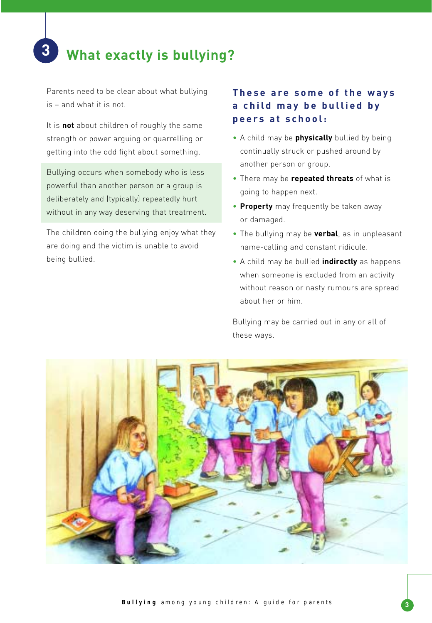## **3 What exactly is bullying?**

Parents need to be clear about what bullying is – and what it is not.

It is **not** about children of roughly the same strength or power arguing or quarrelling or getting into the odd fight about something.

Bullying occurs when somebody who is less powerful than another person or a group is deliberately and (typically) repeatedly hurt without in any way deserving that treatment.

The children doing the bullying enjoy what they are doing and the victim is unable to avoid being bullied.

### **These are some of the ways a child may be bullied by peers at school:**

- A child may be **physically** bullied by being continually struck or pushed around by another person or group.
- There may be **repeated threats** of what is going to happen next.
- **Property** may frequently be taken away or damaged.
- The bullying may be **verbal**, as in unpleasant name-calling and constant ridicule.
- A child may be bullied **indirectly** as happens when someone is excluded from an activity without reason or nasty rumours are spread about her or him.

Bullying may be carried out in any or all of these ways.

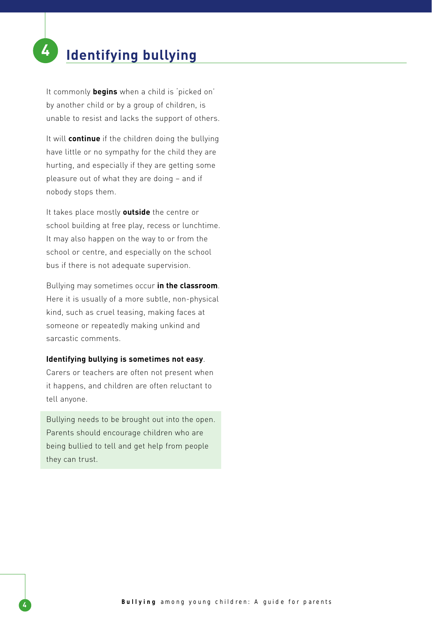## **4 Identifying bullying**

It commonly **begins** when a child is 'picked on' by another child or by a group of children, is unable to resist and lacks the support of others.

It will **continue** if the children doing the bullying have little or no sympathy for the child they are hurting, and especially if they are getting some pleasure out of what they are doing – and if nobody stops them.

It takes place mostly **outside** the centre or school building at free play, recess or lunchtime. It may also happen on the way to or from the school or centre, and especially on the school bus if there is not adequate supervision.

Bullying may sometimes occur **in the classroom**. Here it is usually of a more subtle, non-physical kind, such as cruel teasing, making faces at someone or repeatedly making unkind and sarcastic comments.

#### **Identifying bullying is sometimes not easy**.

Carers or teachers are often not present when it happens, and children are often reluctant to tell anyone.

Bullying needs to be brought out into the open. Parents should encourage children who are being bullied to tell and get help from people they can trust.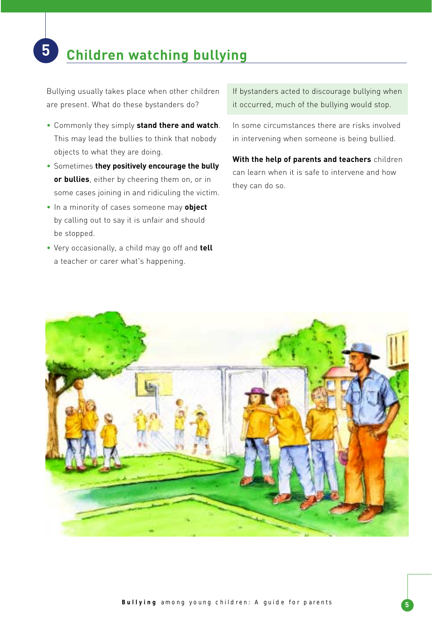# **5 Children watching bullying**

Bullying usually takes place when other children are present. What do these bystanders do?

- Commonly they simply **stand there and watch**. This may lead the bullies to think that nobody objects to what they are doing.
- Sometimes **they positively encourage the bully or bullies**, either by cheering them on, or in some cases joining in and ridiculing the victim.
- In a minority of cases someone may **object** by calling out to say it is unfair and should be stopped.
- Very occasionally, a child may go off and **tell** a teacher or carer what's happening.

If bystanders acted to discourage bullying when it occurred, much of the bullying would stop.

In some circumstances there are risks involved in intervening when someone is being bullied.

**With the help of parents and teachers** children can learn when it is safe to intervene and how they can do so.

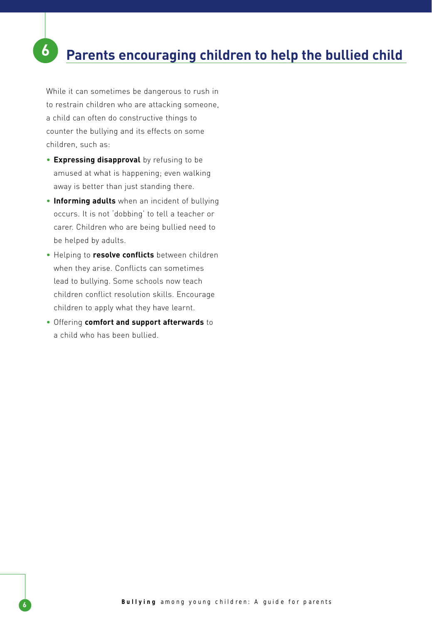## **6 Parents encouraging children to help the bullied child**

While it can sometimes be dangerous to rush in to restrain children who are attacking someone, a child can often do constructive things to counter the bullying and its effects on some children, such as:

- **Expressing disapproval** by refusing to be amused at what is happening; even walking away is better than just standing there.
- **Informing adults** when an incident of bullying occurs. It is not 'dobbing' to tell a teacher or carer. Children who are being bullied need to be helped by adults.
- Helping to **resolve conflicts** between children when they arise. Conflicts can sometimes lead to bullying. Some schools now teach children conflict resolution skills. Encourage children to apply what they have learnt.
- Offering **comfort and support afterwards** to a child who has been bullied.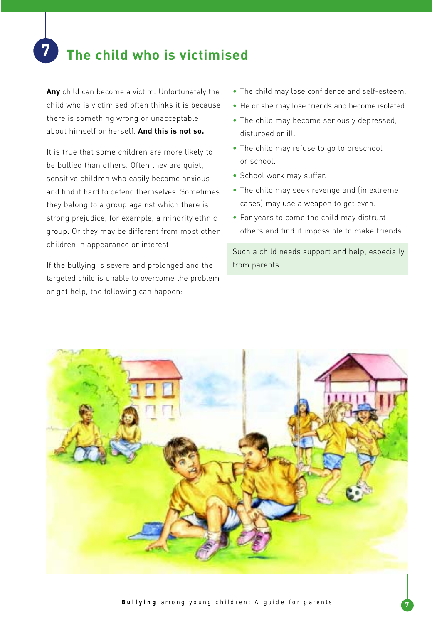## **7 The child who is victimised**

**Any** child can become a victim. Unfortunately the child who is victimised often thinks it is because there is something wrong or unacceptable about himself or herself. **And this is not so.**

It is true that some children are more likely to be bullied than others. Often they are quiet, sensitive children who easily become anxious and find it hard to defend themselves. Sometimes they belong to a group against which there is strong prejudice, for example, a minority ethnic group. Or they may be different from most other children in appearance or interest.

If the bullying is severe and prolonged and the targeted child is unable to overcome the problem or get help, the following can happen:

- The child may lose confidence and self-esteem.
- He or she may lose friends and become isolated.
- The child may become seriously depressed, disturbed or ill.
- The child may refuse to go to preschool or school.
- School work may suffer.
- The child may seek revenge and (in extreme cases) may use a weapon to get even.
- For years to come the child may distrust others and find it impossible to make friends.

Such a child needs support and help, especially from parents.

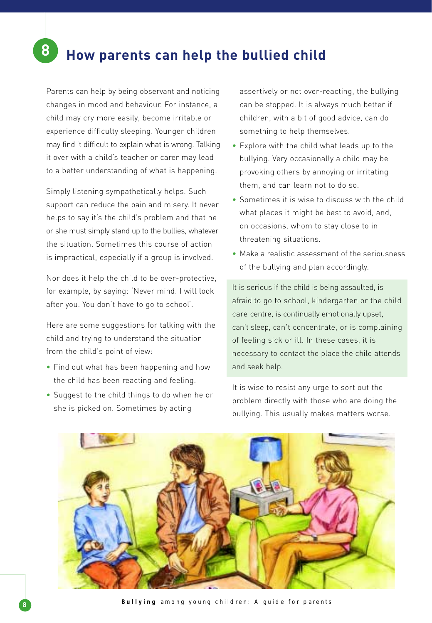Parents can help by being observant and noticing changes in mood and behaviour. For instance, a child may cry more easily, become irritable or experience difficulty sleeping. Younger children may find it difficult to explain what is wrong. Talking it over with a child's teacher or carer may lead to a better understanding of what is happening.

Simply listening sympathetically helps. Such support can reduce the pain and misery. It never helps to say it's the child's problem and that he or she must simply stand up to the bullies, whatever the situation. Sometimes this course of action is impractical, especially if a group is involved.

Nor does it help the child to be over-protective, for example, by saying: 'Never mind. I will look after you. You don't have to go to school'.

Here are some suggestions for talking with the child and trying to understand the situation from the child's point of view:

- Find out what has been happening and how the child has been reacting and feeling.
- Suggest to the child things to do when he or she is picked on. Sometimes by acting

assertively or not over-reacting, the bullying can be stopped. It is always much better if children, with a bit of good advice, can do something to help themselves.

- Explore with the child what leads up to the bullying. Very occasionally a child may be provoking others by annoying or irritating them, and can learn not to do so.
- Sometimes it is wise to discuss with the child what places it might be best to avoid, and, on occasions, whom to stay close to in threatening situations.
- Make a realistic assessment of the seriousness of the bullying and plan accordingly.

It is serious if the child is being assaulted, is afraid to go to school, kindergarten or the child care centre, is continually emotionally upset, can't sleep, can't concentrate, or is complaining of feeling sick or ill. In these cases, it is necessary to contact the place the child attends and seek help.

It is wise to resist any urge to sort out the problem directly with those who are doing the bullying. This usually makes matters worse.

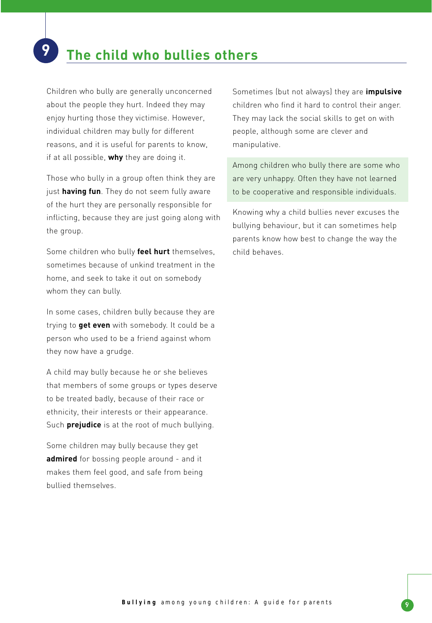## **9 The child who bullies others**

Children who bully are generally unconcerned about the people they hurt. Indeed they may enjoy hurting those they victimise. However, individual children may bully for different reasons, and it is useful for parents to know, if at all possible, **why** they are doing it.

Those who bully in a group often think they are just **having fun**. They do not seem fully aware of the hurt they are personally responsible for inflicting, because they are just going along with the group.

Some children who bully **feel hurt** themselves, sometimes because of unkind treatment in the home, and seek to take it out on somebody whom they can bully.

In some cases, children bully because they are trying to **get even** with somebody. It could be a person who used to be a friend against whom they now have a grudge.

A child may bully because he or she believes that members of some groups or types deserve to be treated badly, because of their race or ethnicity, their interests or their appearance. Such **prejudice** is at the root of much bullying.

Some children may bully because they get **admired** for bossing people around - and it makes them feel good, and safe from being bullied themselves.

Sometimes (but not always) they are **impulsive** children who find it hard to control their anger. They may lack the social skills to get on with people, although some are clever and manipulative.

Among children who bully there are some who are very unhappy. Often they have not learned to be cooperative and responsible individuals.

Knowing why a child bullies never excuses the bullying behaviour, but it can sometimes help parents know how best to change the way the child behaves.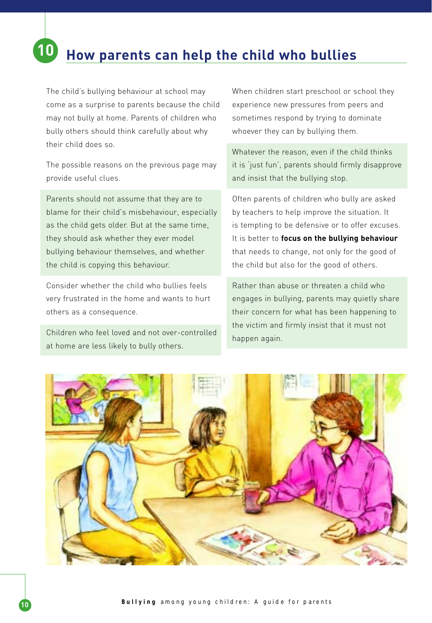# **10 How parents can help the child who bullies**

The child's bullying behaviour at school may come as a surprise to parents because the child may not bully at home. Parents of children who bully others should think carefully about why their child does so.

The possible reasons on the previous page may provide useful clues.

Parents should not assume that they are to blame for their child's misbehaviour, especially as the child gets older. But at the same time, they should ask whether they ever model bullying behaviour themselves, and whether the child is copying this behaviour.

Consider whether the child who bullies feels very frustrated in the home and wants to hurt others as a consequence.

Children who feel loved and not over-controlled at home are less likely to bully others.

When children start preschool or school they experience new pressures from peers and sometimes respond by trying to dominate whoever they can by bullying them.

Whatever the reason, even if the child thinks it is 'just fun', parents should firmly disapprove and insist that the bullying stop.

Often parents of children who bully are asked by teachers to help improve the situation. It is tempting to be defensive or to offer excuses. It is better to **focus on the bullying behaviour** that needs to change, not only for the good of the child but also for the good of others.

Rather than abuse or threaten a child who engages in bullying, parents may quietly share their concern for what has been happening to the victim and firmly insist that it must not happen again.

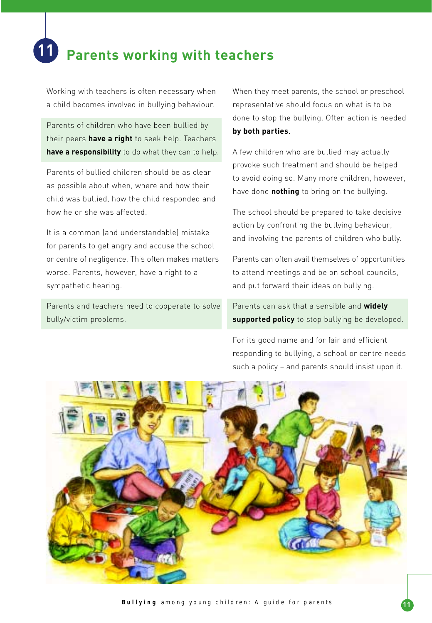Working with teachers is often necessary when a child becomes involved in bullying behaviour.

Parents of children who have been bullied by their peers **have a right** to seek help. Teachers **have a responsibility** to do what they can to help.

Parents of bullied children should be as clear as possible about when, where and how their child was bullied, how the child responded and how he or she was affected.

It is a common (and understandable) mistake for parents to get angry and accuse the school or centre of negligence. This often makes matters worse. Parents, however, have a right to a sympathetic hearing.

Parents and teachers need to cooperate to solve bully/victim problems.

When they meet parents, the school or preschool representative should focus on what is to be done to stop the bullying. Often action is needed **by both parties**.

A few children who are bullied may actually provoke such treatment and should be helped to avoid doing so. Many more children, however, have done **nothing** to bring on the bullying.

The school should be prepared to take decisive action by confronting the bullying behaviour, and involving the parents of children who bully.

Parents can often avail themselves of opportunities to attend meetings and be on school councils, and put forward their ideas on bullying.

Parents can ask that a sensible and **widely supported policy** to stop bullying be developed.

For its good name and for fair and efficient responding to bullying, a school or centre needs such a policy – and parents should insist upon it.

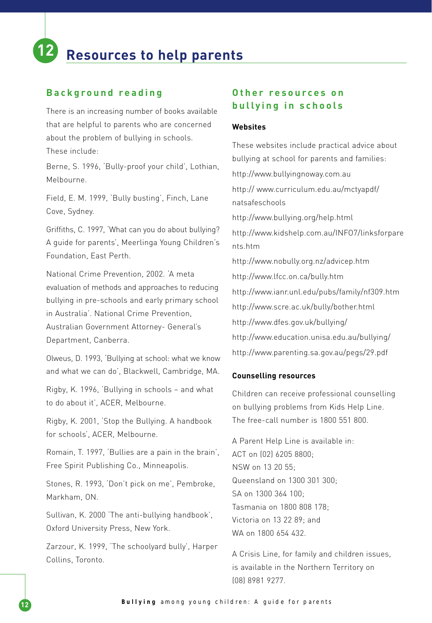## **12 Resources to help parents**

#### **Background reading**

There is an increasing number of books available that are helpful to parents who are concerned about the problem of bullying in schools. These include:

Berne, S. 1996, 'Bully-proof your child', Lothian, Melbourne.

Field, E. M. 1999, 'Bully busting', Finch, Lane Cove, Sydney.

Griffiths, C. 1997, 'What can you do about bullying? A guide for parents', Meerlinga Young Children's Foundation, East Perth.

National Crime Prevention, 2002. 'A meta evaluation of methods and approaches to reducing bullying in pre-schools and early primary school in Australia'. National Crime Prevention, Australian Government Attorney- General's Department, Canberra.

Olweus, D. 1993, 'Bullying at school: what we know and what we can do', Blackwell, Cambridge, MA.

Rigby, K. 1996, 'Bullying in schools – and what to do about it', ACER, Melbourne.

Rigby, K. 2001, 'Stop the Bullying. A handbook for schools', ACER, Melbourne.

Romain, T. 1997, 'Bullies are a pain in the brain', Free Spirit Publishing Co., Minneapolis.

Stones, R. 1993, 'Don't pick on me', Pembroke, Markham, ON.

Sullivan, K. 2000 'The anti-bullying handbook', Oxford University Press, New York.

Zarzour, K. 1999, 'The schoolyard bully', Harper Collins, Toronto.

### **Other resources on bullying in schools**

#### **Websites**

These websites include practical advice about bullying at school for parents and families: http://www.bullyingnoway.com.au http:// www.curriculum.edu.au/mctyapdf/ natsafeschools http://www.bullying.org/help.html http://www.kidshelp.com.au/INFO7/linksforpare nts.htm http://www.nobully.org.nz/advicep.htm http://www.lfcc.on.ca/bully.htm http://www.ianr.unl.edu/pubs/family/nf309.htm http://www.scre.ac.uk/bully/bother.html http://www.dfes.gov.uk/bullying/ http://www.education.unisa.edu.au/bullying/ http://www.parenting.sa.gov.au/pegs/29.pdf

#### **Counselling resources**

Children can receive professional counselling on bullying problems from Kids Help Line. The free-call number is 1800 551 800.

A Parent Help Line is available in: ACT on (02) 6205 8800; NSW on 13 20 55; Queensland on 1300 301 300; SA on 1300 364 100; Tasmania on 1800 808 178; Victoria on 13 22 89; and WA on 1800 654 432

A Crisis Line, for family and children issues, is available in the Northern Territory on (08) 8981 9277.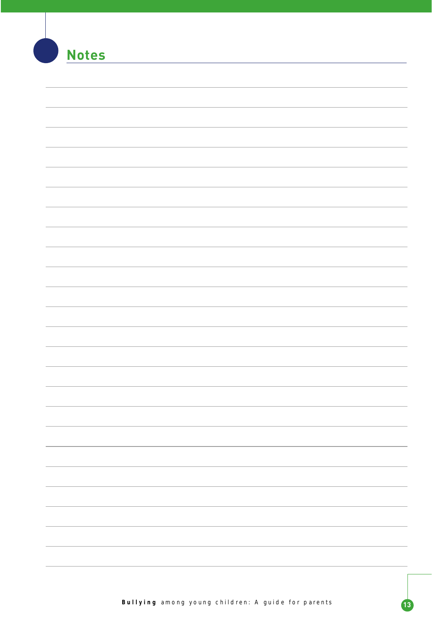| <b>Notes</b> |  |
|--------------|--|
|              |  |
|              |  |
|              |  |
|              |  |
|              |  |
|              |  |
|              |  |
|              |  |
|              |  |
|              |  |
|              |  |
|              |  |
|              |  |
|              |  |
|              |  |
|              |  |
|              |  |
|              |  |
|              |  |
|              |  |
|              |  |
|              |  |
|              |  |
|              |  |
|              |  |
|              |  |
|              |  |
|              |  |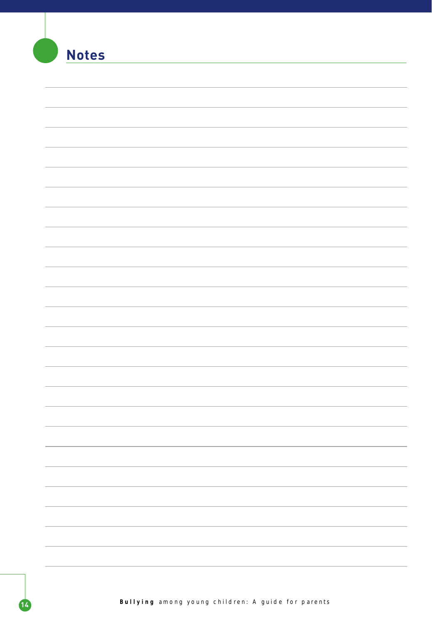| <b>All</b> | <b>Notes</b> |
|------------|--------------|
|            |              |
|            |              |
|            |              |
|            |              |
|            |              |
|            |              |
|            |              |
|            |              |
|            |              |
|            |              |
|            |              |
|            |              |
|            |              |
|            |              |
|            |              |
|            |              |
|            |              |
|            |              |
|            |              |
|            |              |
|            |              |
|            |              |
|            |              |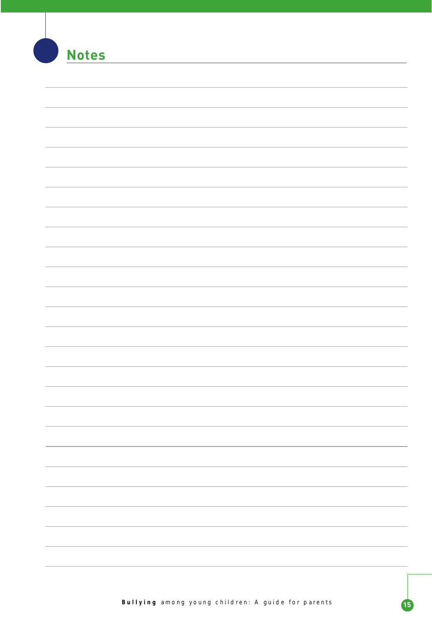| <b>Notes</b> |  |
|--------------|--|
|              |  |
|              |  |
|              |  |
|              |  |
|              |  |
|              |  |
|              |  |
|              |  |
|              |  |
|              |  |
|              |  |
|              |  |
|              |  |
|              |  |
|              |  |
|              |  |
|              |  |
|              |  |
|              |  |
|              |  |
|              |  |
|              |  |
|              |  |
|              |  |
|              |  |
|              |  |
|              |  |
|              |  |